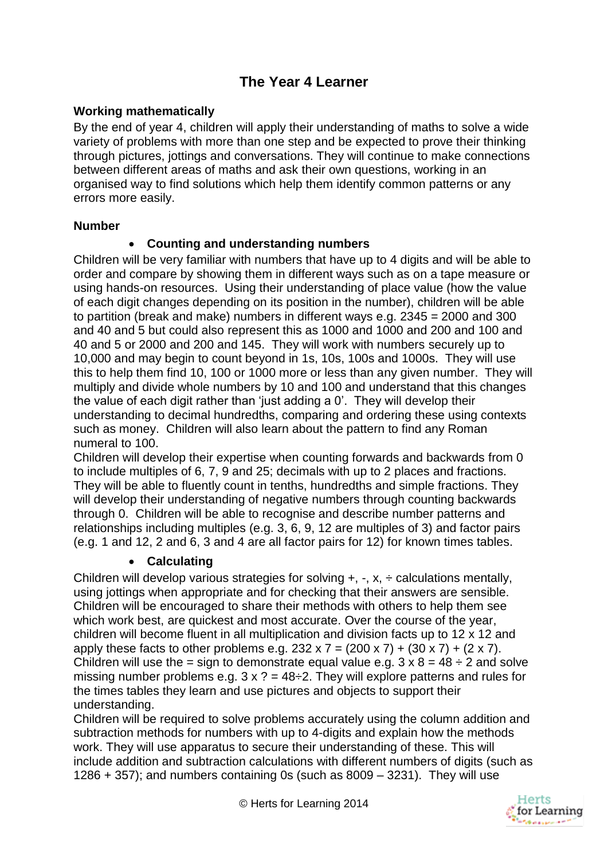# **The Year 4 Learner**

# **Working mathematically**

By the end of year 4, children will apply their understanding of maths to solve a wide variety of problems with more than one step and be expected to prove their thinking through pictures, jottings and conversations. They will continue to make connections between different areas of maths and ask their own questions, working in an organised way to find solutions which help them identify common patterns or any errors more easily.

#### **Number**

# **Counting and understanding numbers**

Children will be very familiar with numbers that have up to 4 digits and will be able to order and compare by showing them in different ways such as on a tape measure or using hands-on resources. Using their understanding of place value (how the value of each digit changes depending on its position in the number), children will be able to partition (break and make) numbers in different ways e.g. 2345 = 2000 and 300 and 40 and 5 but could also represent this as 1000 and 1000 and 200 and 100 and 40 and 5 or 2000 and 200 and 145. They will work with numbers securely up to 10,000 and may begin to count beyond in 1s, 10s, 100s and 1000s. They will use this to help them find 10, 100 or 1000 more or less than any given number. They will multiply and divide whole numbers by 10 and 100 and understand that this changes the value of each digit rather than 'just adding a 0'. They will develop their understanding to decimal hundredths, comparing and ordering these using contexts such as money. Children will also learn about the pattern to find any Roman numeral to 100.

Children will develop their expertise when counting forwards and backwards from 0 to include multiples of 6, 7, 9 and 25; decimals with up to 2 places and fractions. They will be able to fluently count in tenths, hundredths and simple fractions. They will develop their understanding of negative numbers through counting backwards through 0. Children will be able to recognise and describe number patterns and relationships including multiples (e.g. 3, 6, 9, 12 are multiples of 3) and factor pairs (e.g. 1 and 12, 2 and 6, 3 and 4 are all factor pairs for 12) for known times tables.

#### **Calculating**

Children will develop various strategies for solving  $+$ ,  $-$ ,  $x$ ,  $\div$  calculations mentally, using jottings when appropriate and for checking that their answers are sensible. Children will be encouraged to share their methods with others to help them see which work best, are quickest and most accurate. Over the course of the year, children will become fluent in all multiplication and division facts up to 12 x 12 and apply these facts to other problems e.g.  $232 \times 7 = (200 \times 7) + (30 \times 7) + (2 \times 7)$ . Children will use the = sign to demonstrate equal value e.g.  $3 \times 8 = 48 \div 2$  and solve missing number problems e.g.  $3 \times ? = 48 \div 2$ . They will explore patterns and rules for the times tables they learn and use pictures and objects to support their understanding.

Children will be required to solve problems accurately using the column addition and subtraction methods for numbers with up to 4-digits and explain how the methods work. They will use apparatus to secure their understanding of these. This will include addition and subtraction calculations with different numbers of digits (such as 1286  $+$  357); and numbers containing 0s (such as 8009  $-$  3231). They will use